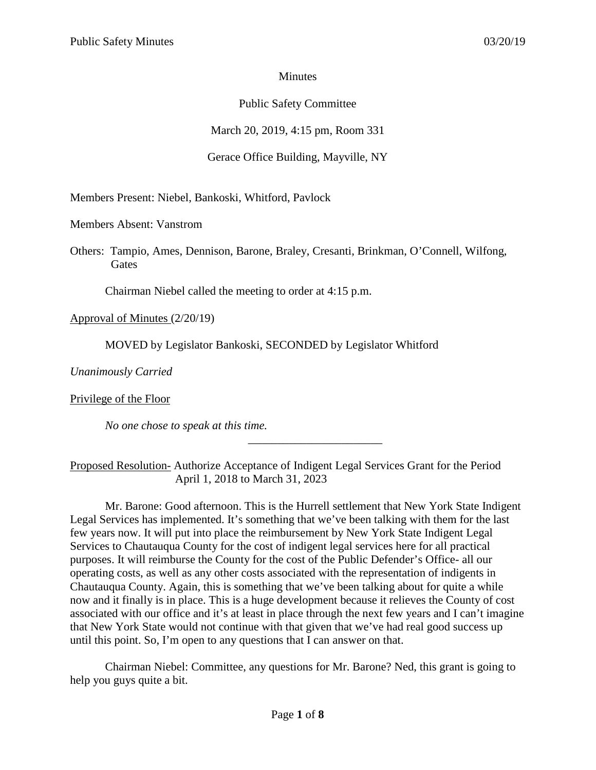### **Minutes**

# Public Safety Committee

March 20, 2019, 4:15 pm, Room 331

## Gerace Office Building, Mayville, NY

Members Present: Niebel, Bankoski, Whitford, Pavlock

Members Absent: Vanstrom

Others: Tampio, Ames, Dennison, Barone, Braley, Cresanti, Brinkman, O'Connell, Wilfong, **Gates** 

Chairman Niebel called the meeting to order at 4:15 p.m.

Approval of Minutes (2/20/19)

MOVED by Legislator Bankoski, SECONDED by Legislator Whitford

*Unanimously Carried*

Privilege of the Floor

*No one chose to speak at this time.*

Proposed Resolution- Authorize Acceptance of Indigent Legal Services Grant for the Period April 1, 2018 to March 31, 2023

\_\_\_\_\_\_\_\_\_\_\_\_\_\_\_\_\_\_\_\_\_\_\_

Mr. Barone: Good afternoon. This is the Hurrell settlement that New York State Indigent Legal Services has implemented. It's something that we've been talking with them for the last few years now. It will put into place the reimbursement by New York State Indigent Legal Services to Chautauqua County for the cost of indigent legal services here for all practical purposes. It will reimburse the County for the cost of the Public Defender's Office- all our operating costs, as well as any other costs associated with the representation of indigents in Chautauqua County. Again, this is something that we've been talking about for quite a while now and it finally is in place. This is a huge development because it relieves the County of cost associated with our office and it's at least in place through the next few years and I can't imagine that New York State would not continue with that given that we've had real good success up until this point. So, I'm open to any questions that I can answer on that.

Chairman Niebel: Committee, any questions for Mr. Barone? Ned, this grant is going to help you guys quite a bit.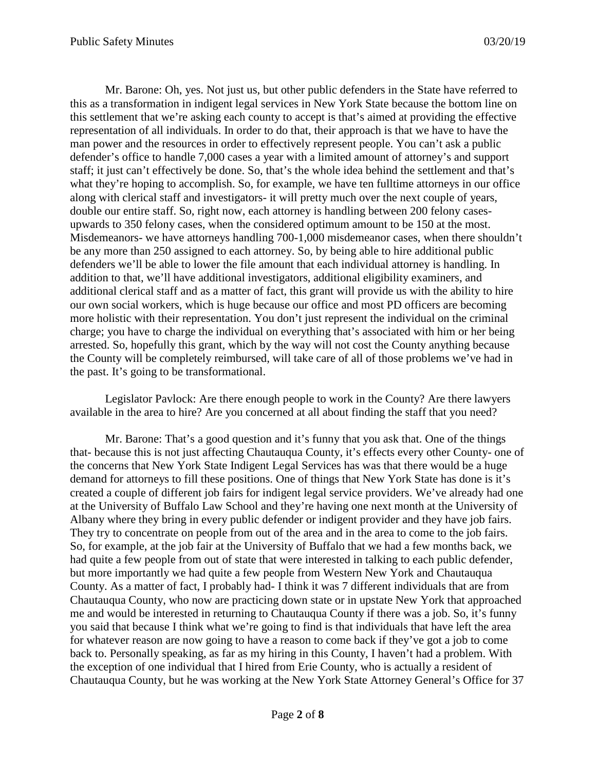Mr. Barone: Oh, yes. Not just us, but other public defenders in the State have referred to this as a transformation in indigent legal services in New York State because the bottom line on this settlement that we're asking each county to accept is that's aimed at providing the effective representation of all individuals. In order to do that, their approach is that we have to have the man power and the resources in order to effectively represent people. You can't ask a public defender's office to handle 7,000 cases a year with a limited amount of attorney's and support staff; it just can't effectively be done. So, that's the whole idea behind the settlement and that's what they're hoping to accomplish. So, for example, we have ten fulltime attorneys in our office along with clerical staff and investigators- it will pretty much over the next couple of years, double our entire staff. So, right now, each attorney is handling between 200 felony casesupwards to 350 felony cases, when the considered optimum amount to be 150 at the most. Misdemeanors- we have attorneys handling 700-1,000 misdemeanor cases, when there shouldn't be any more than 250 assigned to each attorney. So, by being able to hire additional public defenders we'll be able to lower the file amount that each individual attorney is handling. In addition to that, we'll have additional investigators, additional eligibility examiners, and additional clerical staff and as a matter of fact, this grant will provide us with the ability to hire our own social workers, which is huge because our office and most PD officers are becoming more holistic with their representation. You don't just represent the individual on the criminal charge; you have to charge the individual on everything that's associated with him or her being arrested. So, hopefully this grant, which by the way will not cost the County anything because the County will be completely reimbursed, will take care of all of those problems we've had in the past. It's going to be transformational.

Legislator Pavlock: Are there enough people to work in the County? Are there lawyers available in the area to hire? Are you concerned at all about finding the staff that you need?

Mr. Barone: That's a good question and it's funny that you ask that. One of the things that- because this is not just affecting Chautauqua County, it's effects every other County- one of the concerns that New York State Indigent Legal Services has was that there would be a huge demand for attorneys to fill these positions. One of things that New York State has done is it's created a couple of different job fairs for indigent legal service providers. We've already had one at the University of Buffalo Law School and they're having one next month at the University of Albany where they bring in every public defender or indigent provider and they have job fairs. They try to concentrate on people from out of the area and in the area to come to the job fairs. So, for example, at the job fair at the University of Buffalo that we had a few months back, we had quite a few people from out of state that were interested in talking to each public defender, but more importantly we had quite a few people from Western New York and Chautauqua County. As a matter of fact, I probably had- I think it was 7 different individuals that are from Chautauqua County, who now are practicing down state or in upstate New York that approached me and would be interested in returning to Chautauqua County if there was a job. So, it's funny you said that because I think what we're going to find is that individuals that have left the area for whatever reason are now going to have a reason to come back if they've got a job to come back to. Personally speaking, as far as my hiring in this County, I haven't had a problem. With the exception of one individual that I hired from Erie County, who is actually a resident of Chautauqua County, but he was working at the New York State Attorney General's Office for 37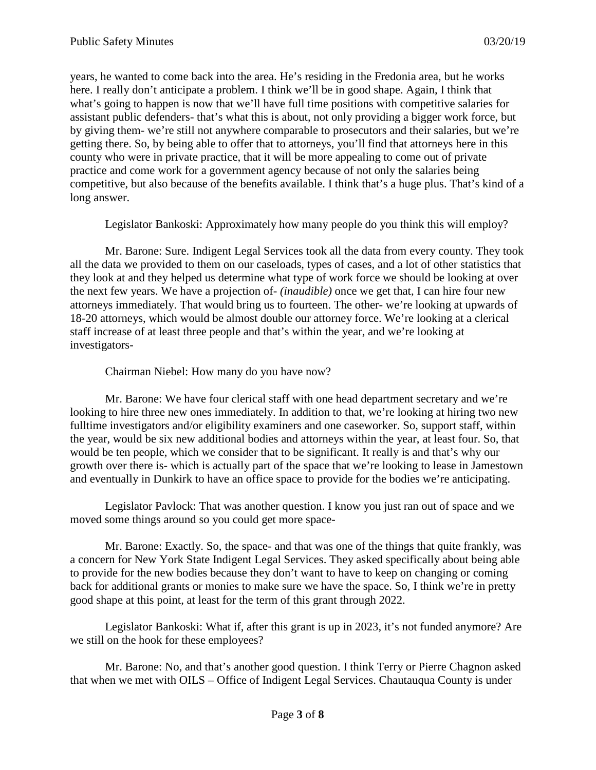years, he wanted to come back into the area. He's residing in the Fredonia area, but he works here. I really don't anticipate a problem. I think we'll be in good shape. Again, I think that what's going to happen is now that we'll have full time positions with competitive salaries for assistant public defenders- that's what this is about, not only providing a bigger work force, but by giving them- we're still not anywhere comparable to prosecutors and their salaries, but we're getting there. So, by being able to offer that to attorneys, you'll find that attorneys here in this county who were in private practice, that it will be more appealing to come out of private practice and come work for a government agency because of not only the salaries being competitive, but also because of the benefits available. I think that's a huge plus. That's kind of a long answer.

Legislator Bankoski: Approximately how many people do you think this will employ?

Mr. Barone: Sure. Indigent Legal Services took all the data from every county. They took all the data we provided to them on our caseloads, types of cases, and a lot of other statistics that they look at and they helped us determine what type of work force we should be looking at over the next few years. We have a projection of- *(inaudible)* once we get that, I can hire four new attorneys immediately. That would bring us to fourteen. The other- we're looking at upwards of 18-20 attorneys, which would be almost double our attorney force. We're looking at a clerical staff increase of at least three people and that's within the year, and we're looking at investigators-

Chairman Niebel: How many do you have now?

Mr. Barone: We have four clerical staff with one head department secretary and we're looking to hire three new ones immediately. In addition to that, we're looking at hiring two new fulltime investigators and/or eligibility examiners and one caseworker. So, support staff, within the year, would be six new additional bodies and attorneys within the year, at least four. So, that would be ten people, which we consider that to be significant. It really is and that's why our growth over there is- which is actually part of the space that we're looking to lease in Jamestown and eventually in Dunkirk to have an office space to provide for the bodies we're anticipating.

Legislator Pavlock: That was another question. I know you just ran out of space and we moved some things around so you could get more space-

Mr. Barone: Exactly. So, the space- and that was one of the things that quite frankly, was a concern for New York State Indigent Legal Services. They asked specifically about being able to provide for the new bodies because they don't want to have to keep on changing or coming back for additional grants or monies to make sure we have the space. So, I think we're in pretty good shape at this point, at least for the term of this grant through 2022.

Legislator Bankoski: What if, after this grant is up in 2023, it's not funded anymore? Are we still on the hook for these employees?

Mr. Barone: No, and that's another good question. I think Terry or Pierre Chagnon asked that when we met with OILS – Office of Indigent Legal Services. Chautauqua County is under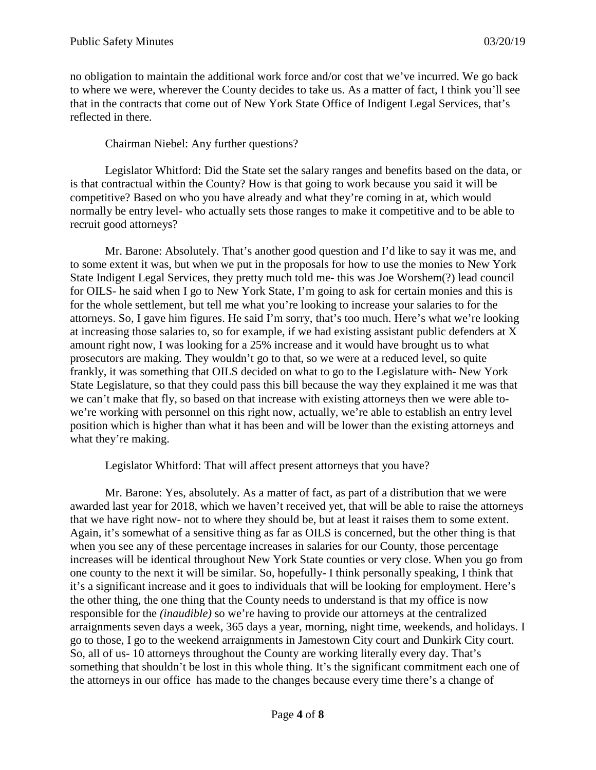no obligation to maintain the additional work force and/or cost that we've incurred. We go back to where we were, wherever the County decides to take us. As a matter of fact, I think you'll see that in the contracts that come out of New York State Office of Indigent Legal Services, that's reflected in there.

Chairman Niebel: Any further questions?

Legislator Whitford: Did the State set the salary ranges and benefits based on the data, or is that contractual within the County? How is that going to work because you said it will be competitive? Based on who you have already and what they're coming in at, which would normally be entry level- who actually sets those ranges to make it competitive and to be able to recruit good attorneys?

Mr. Barone: Absolutely. That's another good question and I'd like to say it was me, and to some extent it was, but when we put in the proposals for how to use the monies to New York State Indigent Legal Services, they pretty much told me- this was Joe Worshem(?) lead council for OILS- he said when I go to New York State, I'm going to ask for certain monies and this is for the whole settlement, but tell me what you're looking to increase your salaries to for the attorneys. So, I gave him figures. He said I'm sorry, that's too much. Here's what we're looking at increasing those salaries to, so for example, if we had existing assistant public defenders at X amount right now, I was looking for a 25% increase and it would have brought us to what prosecutors are making. They wouldn't go to that, so we were at a reduced level, so quite frankly, it was something that OILS decided on what to go to the Legislature with- New York State Legislature, so that they could pass this bill because the way they explained it me was that we can't make that fly, so based on that increase with existing attorneys then we were able towe're working with personnel on this right now, actually, we're able to establish an entry level position which is higher than what it has been and will be lower than the existing attorneys and what they're making.

Legislator Whitford: That will affect present attorneys that you have?

Mr. Barone: Yes, absolutely. As a matter of fact, as part of a distribution that we were awarded last year for 2018, which we haven't received yet, that will be able to raise the attorneys that we have right now- not to where they should be, but at least it raises them to some extent. Again, it's somewhat of a sensitive thing as far as OILS is concerned, but the other thing is that when you see any of these percentage increases in salaries for our County, those percentage increases will be identical throughout New York State counties or very close. When you go from one county to the next it will be similar. So, hopefully- I think personally speaking, I think that it's a significant increase and it goes to individuals that will be looking for employment. Here's the other thing, the one thing that the County needs to understand is that my office is now responsible for the *(inaudible)* so we're having to provide our attorneys at the centralized arraignments seven days a week, 365 days a year, morning, night time, weekends, and holidays. I go to those, I go to the weekend arraignments in Jamestown City court and Dunkirk City court. So, all of us- 10 attorneys throughout the County are working literally every day. That's something that shouldn't be lost in this whole thing. It's the significant commitment each one of the attorneys in our office has made to the changes because every time there's a change of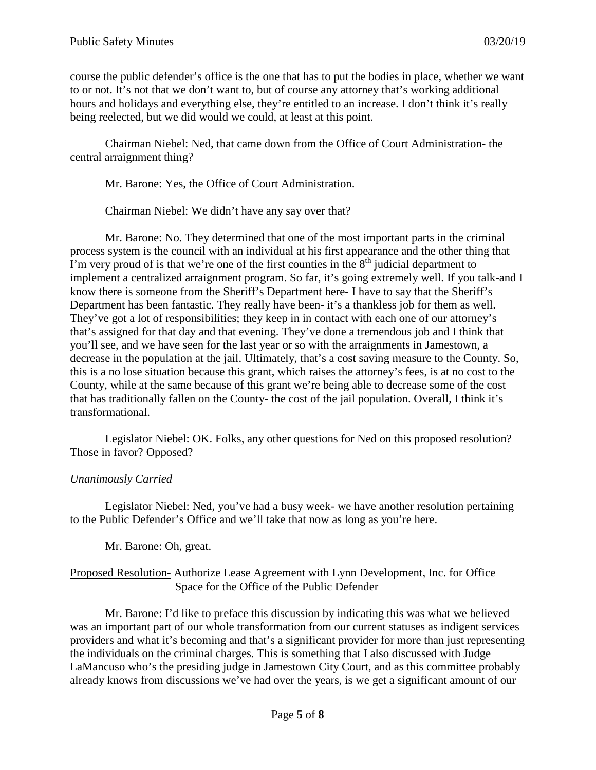course the public defender's office is the one that has to put the bodies in place, whether we want to or not. It's not that we don't want to, but of course any attorney that's working additional hours and holidays and everything else, they're entitled to an increase. I don't think it's really being reelected, but we did would we could, at least at this point.

Chairman Niebel: Ned, that came down from the Office of Court Administration- the central arraignment thing?

Mr. Barone: Yes, the Office of Court Administration.

Chairman Niebel: We didn't have any say over that?

Mr. Barone: No. They determined that one of the most important parts in the criminal process system is the council with an individual at his first appearance and the other thing that I'm very proud of is that we're one of the first counties in the  $8<sup>th</sup>$  judicial department to implement a centralized arraignment program. So far, it's going extremely well. If you talk-and I know there is someone from the Sheriff's Department here- I have to say that the Sheriff's Department has been fantastic. They really have been- it's a thankless job for them as well. They've got a lot of responsibilities; they keep in in contact with each one of our attorney's that's assigned for that day and that evening. They've done a tremendous job and I think that you'll see, and we have seen for the last year or so with the arraignments in Jamestown, a decrease in the population at the jail. Ultimately, that's a cost saving measure to the County. So, this is a no lose situation because this grant, which raises the attorney's fees, is at no cost to the County, while at the same because of this grant we're being able to decrease some of the cost that has traditionally fallen on the County- the cost of the jail population. Overall, I think it's transformational.

Legislator Niebel: OK. Folks, any other questions for Ned on this proposed resolution? Those in favor? Opposed?

## *Unanimously Carried*

Legislator Niebel: Ned, you've had a busy week- we have another resolution pertaining to the Public Defender's Office and we'll take that now as long as you're here.

Mr. Barone: Oh, great.

### Proposed Resolution- Authorize Lease Agreement with Lynn Development, Inc. for Office Space for the Office of the Public Defender

Mr. Barone: I'd like to preface this discussion by indicating this was what we believed was an important part of our whole transformation from our current statuses as indigent services providers and what it's becoming and that's a significant provider for more than just representing the individuals on the criminal charges. This is something that I also discussed with Judge LaMancuso who's the presiding judge in Jamestown City Court, and as this committee probably already knows from discussions we've had over the years, is we get a significant amount of our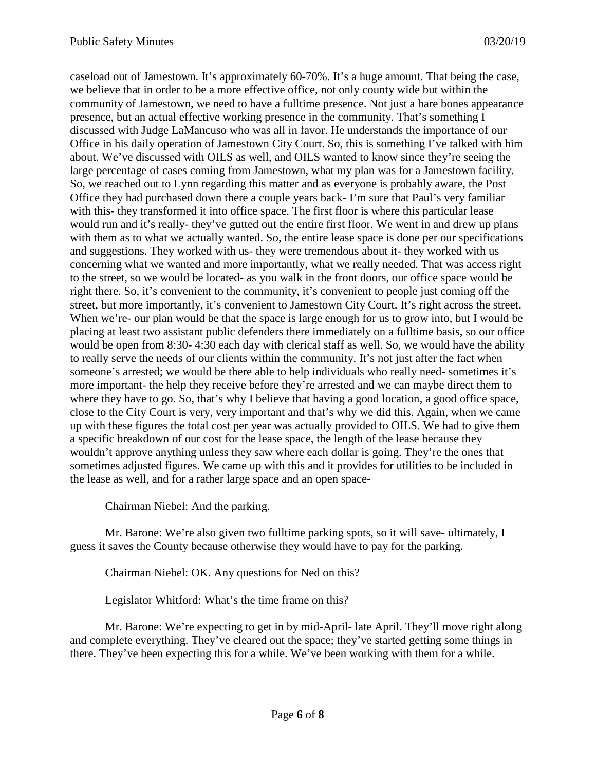caseload out of Jamestown. It's approximately 60-70%. It's a huge amount. That being the case, we believe that in order to be a more effective office, not only county wide but within the community of Jamestown, we need to have a fulltime presence. Not just a bare bones appearance presence, but an actual effective working presence in the community. That's something I discussed with Judge LaMancuso who was all in favor. He understands the importance of our Office in his daily operation of Jamestown City Court. So, this is something I've talked with him about. We've discussed with OILS as well, and OILS wanted to know since they're seeing the large percentage of cases coming from Jamestown, what my plan was for a Jamestown facility. So, we reached out to Lynn regarding this matter and as everyone is probably aware, the Post Office they had purchased down there a couple years back- I'm sure that Paul's very familiar with this- they transformed it into office space. The first floor is where this particular lease would run and it's really- they've gutted out the entire first floor. We went in and drew up plans with them as to what we actually wanted. So, the entire lease space is done per our specifications and suggestions. They worked with us- they were tremendous about it- they worked with us concerning what we wanted and more importantly, what we really needed. That was access right to the street, so we would be located- as you walk in the front doors, our office space would be right there. So, it's convenient to the community, it's convenient to people just coming off the street, but more importantly, it's convenient to Jamestown City Court. It's right across the street. When we're- our plan would be that the space is large enough for us to grow into, but I would be placing at least two assistant public defenders there immediately on a fulltime basis, so our office would be open from 8:30- 4:30 each day with clerical staff as well. So, we would have the ability to really serve the needs of our clients within the community. It's not just after the fact when someone's arrested; we would be there able to help individuals who really need- sometimes it's more important- the help they receive before they're arrested and we can maybe direct them to where they have to go. So, that's why I believe that having a good location, a good office space, close to the City Court is very, very important and that's why we did this. Again, when we came up with these figures the total cost per year was actually provided to OILS. We had to give them a specific breakdown of our cost for the lease space, the length of the lease because they wouldn't approve anything unless they saw where each dollar is going. They're the ones that sometimes adjusted figures. We came up with this and it provides for utilities to be included in the lease as well, and for a rather large space and an open space-

Chairman Niebel: And the parking.

Mr. Barone: We're also given two fulltime parking spots, so it will save- ultimately, I guess it saves the County because otherwise they would have to pay for the parking.

Chairman Niebel: OK. Any questions for Ned on this?

Legislator Whitford: What's the time frame on this?

Mr. Barone: We're expecting to get in by mid-April- late April. They'll move right along and complete everything. They've cleared out the space; they've started getting some things in there. They've been expecting this for a while. We've been working with them for a while.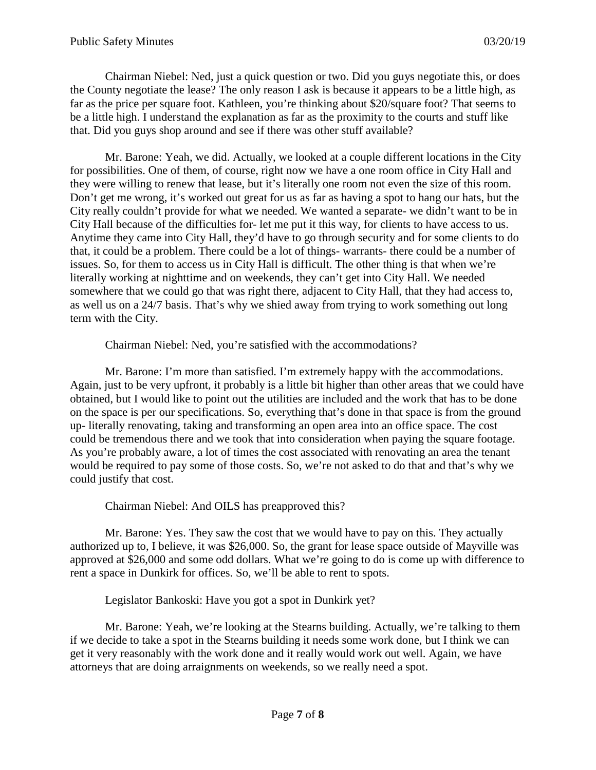Chairman Niebel: Ned, just a quick question or two. Did you guys negotiate this, or does the County negotiate the lease? The only reason I ask is because it appears to be a little high, as far as the price per square foot. Kathleen, you're thinking about \$20/square foot? That seems to be a little high. I understand the explanation as far as the proximity to the courts and stuff like that. Did you guys shop around and see if there was other stuff available?

Mr. Barone: Yeah, we did. Actually, we looked at a couple different locations in the City for possibilities. One of them, of course, right now we have a one room office in City Hall and they were willing to renew that lease, but it's literally one room not even the size of this room. Don't get me wrong, it's worked out great for us as far as having a spot to hang our hats, but the City really couldn't provide for what we needed. We wanted a separate- we didn't want to be in City Hall because of the difficulties for- let me put it this way, for clients to have access to us. Anytime they came into City Hall, they'd have to go through security and for some clients to do that, it could be a problem. There could be a lot of things- warrants- there could be a number of issues. So, for them to access us in City Hall is difficult. The other thing is that when we're literally working at nighttime and on weekends, they can't get into City Hall. We needed somewhere that we could go that was right there, adjacent to City Hall, that they had access to, as well us on a 24/7 basis. That's why we shied away from trying to work something out long term with the City.

Chairman Niebel: Ned, you're satisfied with the accommodations?

Mr. Barone: I'm more than satisfied. I'm extremely happy with the accommodations. Again, just to be very upfront, it probably is a little bit higher than other areas that we could have obtained, but I would like to point out the utilities are included and the work that has to be done on the space is per our specifications. So, everything that's done in that space is from the ground up- literally renovating, taking and transforming an open area into an office space. The cost could be tremendous there and we took that into consideration when paying the square footage. As you're probably aware, a lot of times the cost associated with renovating an area the tenant would be required to pay some of those costs. So, we're not asked to do that and that's why we could justify that cost.

Chairman Niebel: And OILS has preapproved this?

Mr. Barone: Yes. They saw the cost that we would have to pay on this. They actually authorized up to, I believe, it was \$26,000. So, the grant for lease space outside of Mayville was approved at \$26,000 and some odd dollars. What we're going to do is come up with difference to rent a space in Dunkirk for offices. So, we'll be able to rent to spots.

Legislator Bankoski: Have you got a spot in Dunkirk yet?

Mr. Barone: Yeah, we're looking at the Stearns building. Actually, we're talking to them if we decide to take a spot in the Stearns building it needs some work done, but I think we can get it very reasonably with the work done and it really would work out well. Again, we have attorneys that are doing arraignments on weekends, so we really need a spot.